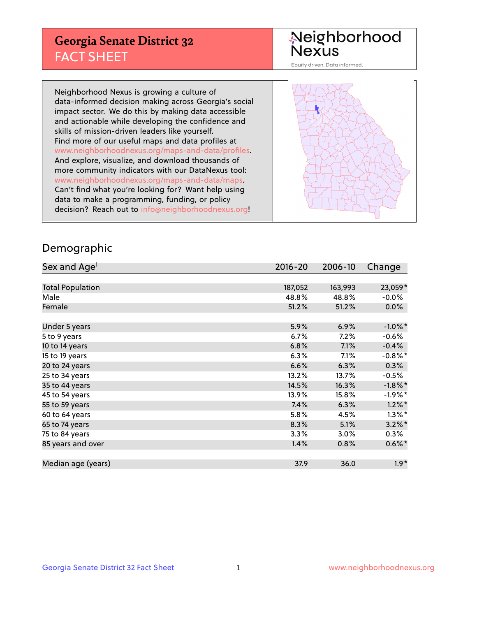## **Georgia Senate District 32** FACT SHEET

# Neighborhood<br>Nexus

Equity driven. Data informed.

Neighborhood Nexus is growing a culture of data-informed decision making across Georgia's social impact sector. We do this by making data accessible and actionable while developing the confidence and skills of mission-driven leaders like yourself. Find more of our useful maps and data profiles at www.neighborhoodnexus.org/maps-and-data/profiles. And explore, visualize, and download thousands of more community indicators with our DataNexus tool: www.neighborhoodnexus.org/maps-and-data/maps. Can't find what you're looking for? Want help using data to make a programming, funding, or policy decision? Reach out to [info@neighborhoodnexus.org!](mailto:info@neighborhoodnexus.org)



### Demographic

| Sex and Age <sup>1</sup> | $2016 - 20$ | 2006-10 | Change     |
|--------------------------|-------------|---------|------------|
|                          |             |         |            |
| <b>Total Population</b>  | 187,052     | 163,993 | 23,059*    |
| Male                     | 48.8%       | 48.8%   | $-0.0\%$   |
| Female                   | 51.2%       | 51.2%   | $0.0\%$    |
|                          |             |         |            |
| Under 5 years            | 5.9%        | 6.9%    | $-1.0\%$ * |
| 5 to 9 years             | 6.7%        | 7.2%    | $-0.6%$    |
| 10 to 14 years           | 6.8%        | 7.1%    | $-0.4%$    |
| 15 to 19 years           | 6.3%        | 7.1%    | $-0.8\%$ * |
| 20 to 24 years           | 6.6%        | 6.3%    | 0.3%       |
| 25 to 34 years           | 13.2%       | 13.7%   | $-0.5%$    |
| 35 to 44 years           | 14.5%       | 16.3%   | $-1.8\%$ * |
| 45 to 54 years           | 13.9%       | 15.8%   | $-1.9%$ *  |
| 55 to 59 years           | 7.4%        | 6.3%    | $1.2\%$ *  |
| 60 to 64 years           | 5.8%        | 4.5%    | $1.3\%$ *  |
| 65 to 74 years           | 8.3%        | 5.1%    | $3.2\%$ *  |
| 75 to 84 years           | $3.3\%$     | 3.0%    | $0.3\%$    |
| 85 years and over        | 1.4%        | 0.8%    | $0.6\%$ *  |
|                          |             |         |            |
| Median age (years)       | 37.9        | 36.0    | $1.9*$     |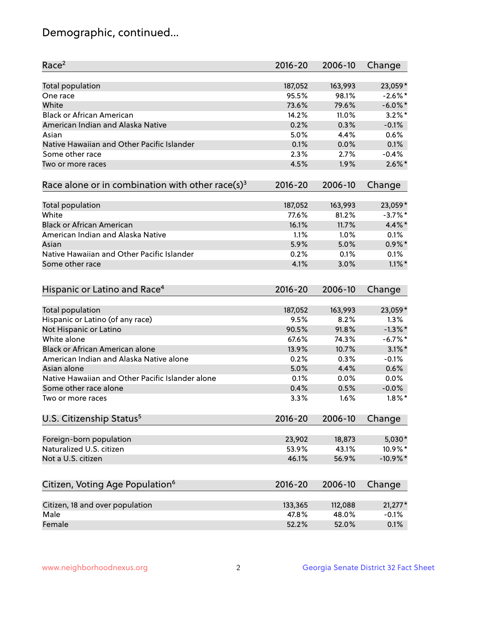## Demographic, continued...

| Race <sup>2</sup>                                            | $2016 - 20$ | 2006-10 | Change      |
|--------------------------------------------------------------|-------------|---------|-------------|
| <b>Total population</b>                                      | 187,052     | 163,993 | 23,059*     |
| One race                                                     | 95.5%       | 98.1%   | $-2.6\%$ *  |
| White                                                        | 73.6%       | 79.6%   | $-6.0\%$ *  |
| <b>Black or African American</b>                             | 14.2%       | 11.0%   | $3.2\%$ *   |
| American Indian and Alaska Native                            | 0.2%        | 0.3%    | $-0.1%$     |
| Asian                                                        | 5.0%        | 4.4%    | 0.6%        |
| Native Hawaiian and Other Pacific Islander                   | 0.1%        | 0.0%    | 0.1%        |
| Some other race                                              | 2.3%        | 2.7%    | $-0.4%$     |
| Two or more races                                            | 4.5%        | 1.9%    | $2.6\%$ *   |
| Race alone or in combination with other race(s) <sup>3</sup> | $2016 - 20$ | 2006-10 | Change      |
|                                                              |             |         |             |
| Total population                                             | 187,052     | 163,993 | 23,059*     |
| White                                                        | 77.6%       | 81.2%   | $-3.7\%$ *  |
| <b>Black or African American</b>                             | 16.1%       | 11.7%   | 4.4%*       |
| American Indian and Alaska Native                            | 1.1%        | 1.0%    | 0.1%        |
| Asian                                                        | 5.9%        | 5.0%    | $0.9\%$ *   |
| Native Hawaiian and Other Pacific Islander                   | 0.2%        | 0.1%    | 0.1%        |
| Some other race                                              | 4.1%        | 3.0%    | $1.1\%$ *   |
| Hispanic or Latino and Race <sup>4</sup>                     | $2016 - 20$ | 2006-10 | Change      |
| <b>Total population</b>                                      | 187,052     | 163,993 | 23,059*     |
| Hispanic or Latino (of any race)                             | 9.5%        | 8.2%    | 1.3%        |
| Not Hispanic or Latino                                       | 90.5%       | 91.8%   | $-1.3\%$ *  |
| White alone                                                  | 67.6%       | 74.3%   | $-6.7\%$ *  |
| <b>Black or African American alone</b>                       | 13.9%       | 10.7%   | $3.1\%$ *   |
| American Indian and Alaska Native alone                      | 0.2%        | 0.3%    | $-0.1%$     |
| Asian alone                                                  | 5.0%        | 4.4%    | 0.6%        |
| Native Hawaiian and Other Pacific Islander alone             | 0.1%        | 0.0%    | 0.0%        |
| Some other race alone                                        | 0.4%        | 0.5%    | $-0.0%$     |
| Two or more races                                            | 3.3%        | 1.6%    | $1.8\%$ *   |
| U.S. Citizenship Status <sup>5</sup>                         | 2016-20     | 2006-10 | Change      |
|                                                              |             |         |             |
| Foreign-born population                                      | 23,902      | 18,873  | $5,030*$    |
| Naturalized U.S. citizen                                     | 53.9%       | 43.1%   | 10.9%*      |
| Not a U.S. citizen                                           | 46.1%       | 56.9%   | $-10.9\%$ * |
| Citizen, Voting Age Population <sup>6</sup>                  | 2016-20     | 2006-10 | Change      |
|                                                              |             |         |             |
| Citizen, 18 and over population                              | 133,365     | 112,088 | $21,277*$   |
| Male                                                         | 47.8%       | 48.0%   | $-0.1%$     |
| Female                                                       | 52.2%       | 52.0%   | 0.1%        |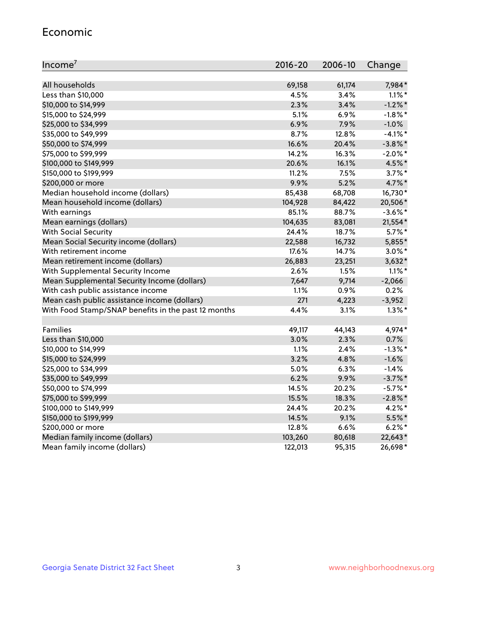#### Economic

| Income <sup>7</sup>                                 | $2016 - 20$ | 2006-10 | Change     |
|-----------------------------------------------------|-------------|---------|------------|
|                                                     |             |         |            |
| All households                                      | 69,158      | 61,174  | 7,984*     |
| Less than \$10,000                                  | 4.5%        | 3.4%    | $1.1\%$ *  |
| \$10,000 to \$14,999                                | 2.3%        | 3.4%    | $-1.2%$ *  |
| \$15,000 to \$24,999                                | 5.1%        | 6.9%    | $-1.8\%$ * |
| \$25,000 to \$34,999                                | 6.9%        | 7.9%    | $-1.0%$    |
| \$35,000 to \$49,999                                | 8.7%        | 12.8%   | $-4.1\%$ * |
| \$50,000 to \$74,999                                | 16.6%       | 20.4%   | $-3.8\%$ * |
| \$75,000 to \$99,999                                | 14.2%       | 16.3%   | $-2.0\%$ * |
| \$100,000 to \$149,999                              | 20.6%       | 16.1%   | 4.5%*      |
| \$150,000 to \$199,999                              | 11.2%       | 7.5%    | $3.7\%$ *  |
| \$200,000 or more                                   | 9.9%        | 5.2%    | 4.7%*      |
| Median household income (dollars)                   | 85,438      | 68,708  | 16,730*    |
| Mean household income (dollars)                     | 104,928     | 84,422  | 20,506*    |
| With earnings                                       | 85.1%       | 88.7%   | $-3.6\%$ * |
| Mean earnings (dollars)                             | 104,635     | 83,081  | 21,554*    |
| <b>With Social Security</b>                         | 24.4%       | 18.7%   | $5.7\%$ *  |
| Mean Social Security income (dollars)               | 22,588      | 16,732  | 5,855*     |
| With retirement income                              | 17.6%       | 14.7%   | $3.0\%$ *  |
| Mean retirement income (dollars)                    | 26,883      | 23,251  | $3,632*$   |
| With Supplemental Security Income                   | 2.6%        | 1.5%    | $1.1\%$ *  |
| Mean Supplemental Security Income (dollars)         | 7,647       | 9,714   | $-2,066$   |
| With cash public assistance income                  | 1.1%        | 0.9%    | 0.2%       |
| Mean cash public assistance income (dollars)        | 271         | 4,223   | $-3,952$   |
| With Food Stamp/SNAP benefits in the past 12 months | 4.4%        | 3.1%    | $1.3\%$ *  |
|                                                     |             |         |            |
| Families                                            | 49,117      | 44,143  | 4,974*     |
| Less than \$10,000                                  | 3.0%        | 2.3%    | 0.7%       |
| \$10,000 to \$14,999                                | 1.1%        | 2.4%    | $-1.3%$ *  |
| \$15,000 to \$24,999                                | 3.2%        | 4.8%    | $-1.6%$    |
| \$25,000 to \$34,999                                | 5.0%        | 6.3%    | $-1.4%$    |
| \$35,000 to \$49,999                                | 6.2%        | 9.9%    | $-3.7\%$ * |
| \$50,000 to \$74,999                                | 14.5%       | 20.2%   | $-5.7\%$ * |
| \$75,000 to \$99,999                                | 15.5%       | 18.3%   | $-2.8\%$ * |
| \$100,000 to \$149,999                              | 24.4%       | 20.2%   | $4.2\%$ *  |
| \$150,000 to \$199,999                              | 14.5%       | 9.1%    | 5.5%*      |
| \$200,000 or more                                   | 12.8%       | 6.6%    | $6.2%$ *   |
| Median family income (dollars)                      | 103,260     | 80,618  | 22,643*    |
| Mean family income (dollars)                        | 122,013     | 95,315  | 26,698*    |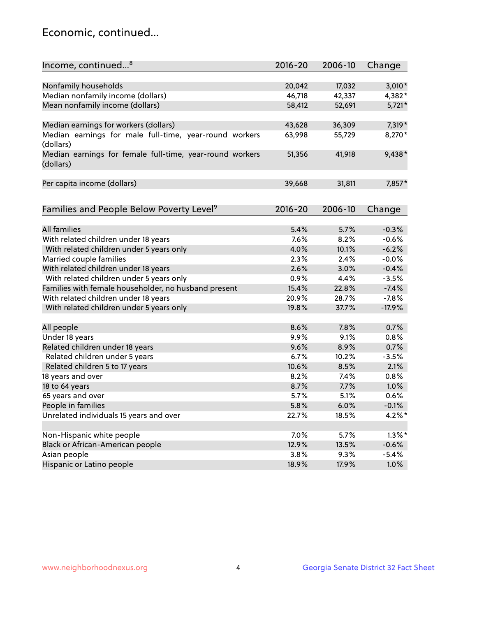## Economic, continued...

| Income, continued <sup>8</sup>                                        | $2016 - 20$ | 2006-10 | Change    |
|-----------------------------------------------------------------------|-------------|---------|-----------|
|                                                                       |             |         |           |
| Nonfamily households                                                  | 20,042      | 17,032  | $3,010*$  |
| Median nonfamily income (dollars)                                     | 46,718      | 42,337  | 4,382*    |
| Mean nonfamily income (dollars)                                       | 58,412      | 52,691  | $5,721*$  |
| Median earnings for workers (dollars)                                 | 43,628      | 36,309  | 7,319 *   |
| Median earnings for male full-time, year-round workers                | 63,998      | 55,729  | 8,270*    |
| (dollars)                                                             |             |         |           |
| Median earnings for female full-time, year-round workers<br>(dollars) | 51,356      | 41,918  | 9,438*    |
| Per capita income (dollars)                                           | 39,668      | 31,811  | 7,857*    |
|                                                                       |             |         |           |
| Families and People Below Poverty Level <sup>9</sup>                  | $2016 - 20$ | 2006-10 | Change    |
|                                                                       |             |         |           |
| <b>All families</b>                                                   | 5.4%        | 5.7%    | $-0.3%$   |
| With related children under 18 years                                  | 7.6%        | 8.2%    | $-0.6%$   |
| With related children under 5 years only                              | 4.0%        | 10.1%   | $-6.2%$   |
| Married couple families                                               | 2.3%        | 2.4%    | $-0.0%$   |
| With related children under 18 years                                  | 2.6%        | 3.0%    | $-0.4%$   |
| With related children under 5 years only                              | 0.9%        | 4.4%    | $-3.5%$   |
| Families with female householder, no husband present                  | 15.4%       | 22.8%   | $-7.4%$   |
| With related children under 18 years                                  | 20.9%       | 28.7%   | $-7.8%$   |
| With related children under 5 years only                              | 19.8%       | 37.7%   | $-17.9%$  |
| All people                                                            | 8.6%        | 7.8%    | 0.7%      |
| Under 18 years                                                        | 9.9%        | 9.1%    | 0.8%      |
| Related children under 18 years                                       | 9.6%        | 8.9%    | 0.7%      |
| Related children under 5 years                                        | 6.7%        | 10.2%   | $-3.5%$   |
| Related children 5 to 17 years                                        | 10.6%       | 8.5%    | 2.1%      |
| 18 years and over                                                     | 8.2%        | 7.4%    | 0.8%      |
| 18 to 64 years                                                        | 8.7%        | 7.7%    | 1.0%      |
| 65 years and over                                                     | 5.7%        | 5.1%    | 0.6%      |
| People in families                                                    | 5.8%        | 6.0%    | $-0.1%$   |
| Unrelated individuals 15 years and over                               | 22.7%       | 18.5%   | 4.2%*     |
|                                                                       |             |         |           |
| Non-Hispanic white people                                             | 7.0%        | 5.7%    | $1.3\%$ * |
| Black or African-American people                                      | 12.9%       | 13.5%   | $-0.6%$   |
| Asian people                                                          | 3.8%        | 9.3%    | $-5.4%$   |
| Hispanic or Latino people                                             | 18.9%       | 17.9%   | 1.0%      |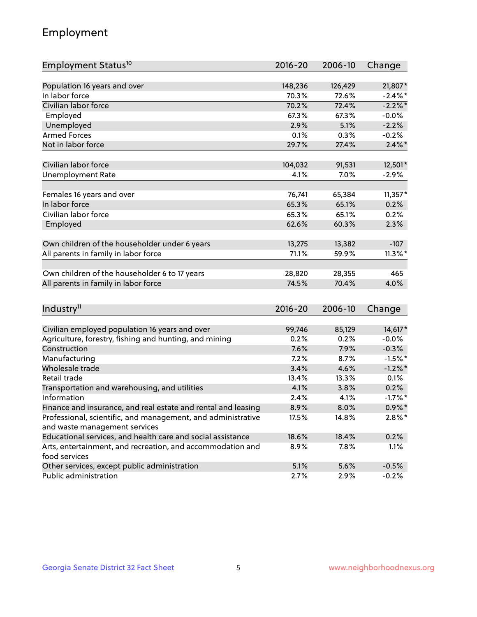## Employment

| Employment Status <sup>10</sup>                                             | 2016-20         | 2006-10 | Change               |
|-----------------------------------------------------------------------------|-----------------|---------|----------------------|
|                                                                             |                 |         |                      |
| Population 16 years and over<br>In labor force                              | 148,236         | 126,429 | 21,807*              |
| Civilian labor force                                                        | 70.3%           | 72.6%   | $-2.4\%$ *           |
|                                                                             | 70.2%           | 72.4%   | $-2.2%$ *            |
| Employed                                                                    | 67.3%           | 67.3%   | $-0.0%$              |
| Unemployed                                                                  | 2.9%            | 5.1%    | $-2.2%$              |
| <b>Armed Forces</b>                                                         | 0.1%            | 0.3%    | $-0.2%$              |
| Not in labor force                                                          | 29.7%           | 27.4%   | $2.4\%$ *            |
| Civilian labor force                                                        | 104,032         | 91,531  | 12,501*              |
| <b>Unemployment Rate</b>                                                    | 4.1%            | 7.0%    | $-2.9%$              |
|                                                                             |                 |         |                      |
| Females 16 years and over                                                   | 76,741          | 65,384  | $11,357*$            |
| In labor force                                                              | 65.3%           | 65.1%   | 0.2%                 |
| Civilian labor force                                                        | 65.3%           | 65.1%   | 0.2%                 |
| Employed                                                                    | 62.6%           | 60.3%   | 2.3%                 |
|                                                                             |                 | 13,382  |                      |
| Own children of the householder under 6 years                               | 13,275<br>71.1% | 59.9%   | $-107$<br>$11.3\%$ * |
| All parents in family in labor force                                        |                 |         |                      |
| Own children of the householder 6 to 17 years                               | 28,820          | 28,355  | 465                  |
| All parents in family in labor force                                        | 74.5%           | 70.4%   | 4.0%                 |
|                                                                             |                 |         |                      |
| Industry <sup>11</sup>                                                      | $2016 - 20$     | 2006-10 | Change               |
|                                                                             |                 |         |                      |
| Civilian employed population 16 years and over                              | 99,746          | 85,129  | 14,617*              |
| Agriculture, forestry, fishing and hunting, and mining                      | 0.2%            | 0.2%    | $-0.0%$              |
| Construction                                                                | 7.6%            | 7.9%    | $-0.3%$              |
| Manufacturing                                                               | 7.2%            | 8.7%    | $-1.5%$ *            |
| Wholesale trade                                                             | 3.4%            | 4.6%    | $-1.2\%$ *           |
| Retail trade                                                                | 13.4%           | 13.3%   | 0.1%                 |
| Transportation and warehousing, and utilities                               | 4.1%            | 3.8%    | 0.2%                 |
| Information                                                                 | 2.4%            | 4.1%    | $-1.7%$ *            |
| Finance and insurance, and real estate and rental and leasing               | 8.9%            | 8.0%    | $0.9\%$ *            |
| Professional, scientific, and management, and administrative                | 17.5%           | 14.8%   | $2.8\%$ *            |
| and waste management services                                               |                 |         |                      |
| Educational services, and health care and social assistance                 | 18.6%           | 18.4%   | 0.2%                 |
| Arts, entertainment, and recreation, and accommodation and<br>food services | 8.9%            | 7.8%    | 1.1%                 |
| Other services, except public administration                                | 5.1%            | 5.6%    | $-0.5%$              |
| Public administration                                                       | 2.7%            | 2.9%    | $-0.2%$              |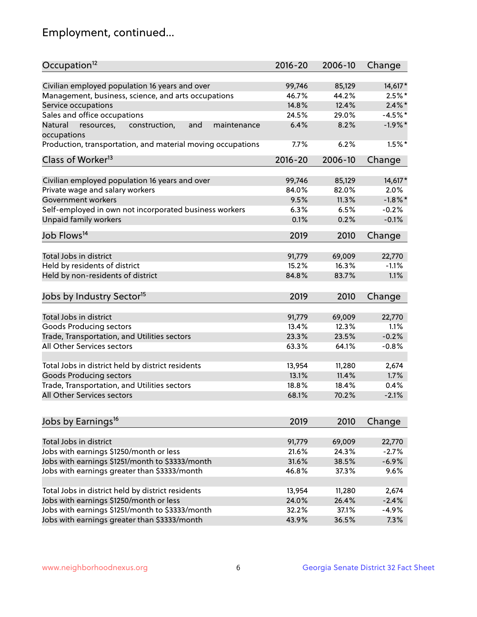## Employment, continued...

| Occupation <sup>12</sup>                                                    | $2016 - 20$ | 2006-10 | Change     |
|-----------------------------------------------------------------------------|-------------|---------|------------|
| Civilian employed population 16 years and over                              | 99,746      | 85,129  | $14,617*$  |
| Management, business, science, and arts occupations                         | 46.7%       | 44.2%   | $2.5%$ *   |
| Service occupations                                                         | 14.8%       | 12.4%   | $2.4\%$ *  |
| Sales and office occupations                                                | 24.5%       | 29.0%   | $-4.5%$ *  |
|                                                                             | 6.4%        |         |            |
| Natural<br>and<br>resources,<br>construction,<br>maintenance<br>occupations |             | 8.2%    | $-1.9%$ *  |
| Production, transportation, and material moving occupations                 | 7.7%        | 6.2%    | $1.5%$ *   |
| Class of Worker <sup>13</sup>                                               | $2016 - 20$ | 2006-10 | Change     |
|                                                                             |             |         |            |
| Civilian employed population 16 years and over                              | 99,746      | 85,129  | $14,617*$  |
| Private wage and salary workers                                             | 84.0%       | 82.0%   | 2.0%       |
| Government workers                                                          | 9.5%        | 11.3%   | $-1.8\%$ * |
| Self-employed in own not incorporated business workers                      | 6.3%        | 6.5%    | $-0.2%$    |
| Unpaid family workers                                                       | 0.1%        | 0.2%    | $-0.1%$    |
| Job Flows <sup>14</sup>                                                     | 2019        | 2010    | Change     |
|                                                                             |             |         |            |
| Total Jobs in district                                                      | 91,779      | 69,009  | 22,770     |
| Held by residents of district                                               | 15.2%       | 16.3%   | $-1.1%$    |
| Held by non-residents of district                                           | 84.8%       | 83.7%   | 1.1%       |
| Jobs by Industry Sector <sup>15</sup>                                       | 2019        | 2010    | Change     |
|                                                                             |             |         |            |
| Total Jobs in district                                                      | 91,779      | 69,009  | 22,770     |
| Goods Producing sectors                                                     | 13.4%       | 12.3%   | 1.1%       |
| Trade, Transportation, and Utilities sectors                                | 23.3%       | 23.5%   | $-0.2%$    |
| All Other Services sectors                                                  | 63.3%       | 64.1%   | $-0.8%$    |
| Total Jobs in district held by district residents                           | 13,954      | 11,280  | 2,674      |
| <b>Goods Producing sectors</b>                                              | 13.1%       | 11.4%   | 1.7%       |
| Trade, Transportation, and Utilities sectors                                | 18.8%       | 18.4%   | 0.4%       |
| All Other Services sectors                                                  | 68.1%       | 70.2%   | $-2.1%$    |
|                                                                             |             |         |            |
| Jobs by Earnings <sup>16</sup>                                              | 2019        | 2010    | Change     |
|                                                                             |             |         |            |
| Total Jobs in district                                                      | 91,779      | 69,009  | 22,770     |
| Jobs with earnings \$1250/month or less                                     | 21.6%       | 24.3%   | $-2.7%$    |
| Jobs with earnings \$1251/month to \$3333/month                             | 31.6%       | 38.5%   | $-6.9%$    |
| Jobs with earnings greater than \$3333/month                                | 46.8%       | 37.3%   | 9.6%       |
| Total Jobs in district held by district residents                           | 13,954      | 11,280  | 2,674      |
| Jobs with earnings \$1250/month or less                                     | 24.0%       | 26.4%   | $-2.4%$    |
| Jobs with earnings \$1251/month to \$3333/month                             | 32.2%       | 37.1%   | $-4.9%$    |
| Jobs with earnings greater than \$3333/month                                | 43.9%       | 36.5%   | 7.3%       |
|                                                                             |             |         |            |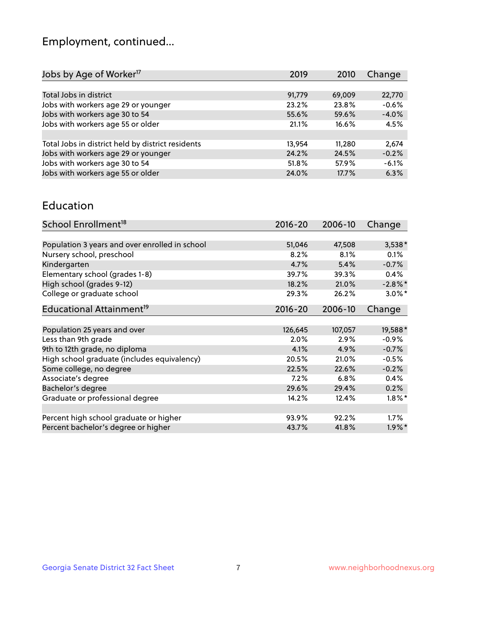## Employment, continued...

| 2019   | 2010   | Change  |
|--------|--------|---------|
|        |        |         |
| 91,779 | 69,009 | 22,770  |
| 23.2%  | 23.8%  | $-0.6%$ |
| 55.6%  | 59.6%  | $-4.0%$ |
| 21.1%  | 16.6%  | 4.5%    |
|        |        |         |
| 13,954 | 11,280 | 2,674   |
| 24.2%  | 24.5%  | $-0.2%$ |
| 51.8%  | 57.9%  | $-6.1%$ |
| 24.0%  | 17.7%  | 6.3%    |
|        |        |         |

#### Education

| School Enrollment <sup>18</sup>                | $2016 - 20$ | 2006-10 | Change               |
|------------------------------------------------|-------------|---------|----------------------|
|                                                |             |         |                      |
| Population 3 years and over enrolled in school | 51,046      | 47,508  | $3,538*$             |
| Nursery school, preschool                      | 8.2%        | 8.1%    | 0.1%                 |
| Kindergarten                                   | 4.7%        | 5.4%    | $-0.7%$              |
| Elementary school (grades 1-8)                 | 39.7%       | 39.3%   | $0.4\%$              |
| High school (grades 9-12)                      | 18.2%       | 21.0%   | $-2.8\%$ *           |
| College or graduate school                     | 29.3%       | 26.2%   | $3.0\%$ *            |
| Educational Attainment <sup>19</sup>           | $2016 - 20$ | 2006-10 | Change               |
|                                                |             |         |                      |
| Population 25 years and over                   | 126,645     | 107,057 | 19,588*              |
| Less than 9th grade                            | 2.0%        | 2.9%    | $-0.9%$              |
| 9th to 12th grade, no diploma                  | 4.1%        | 4.9%    | $-0.7%$              |
| High school graduate (includes equivalency)    | 20.5%       | 21.0%   | $-0.5%$              |
| Some college, no degree                        | 22.5%       | 22.6%   | $-0.2%$              |
| Associate's degree                             | 7.2%        | 6.8%    | 0.4%                 |
| Bachelor's degree                              | 29.6%       | 29.4%   | 0.2%                 |
| Graduate or professional degree                | 14.2%       | 12.4%   | $1.8\%$ *            |
|                                                |             |         |                      |
| Percent high school graduate or higher         | 93.9%       | 92.2%   | 1.7%                 |
| Percent bachelor's degree or higher            | 43.7%       | 41.8%   | $1.9\%$ <sup>*</sup> |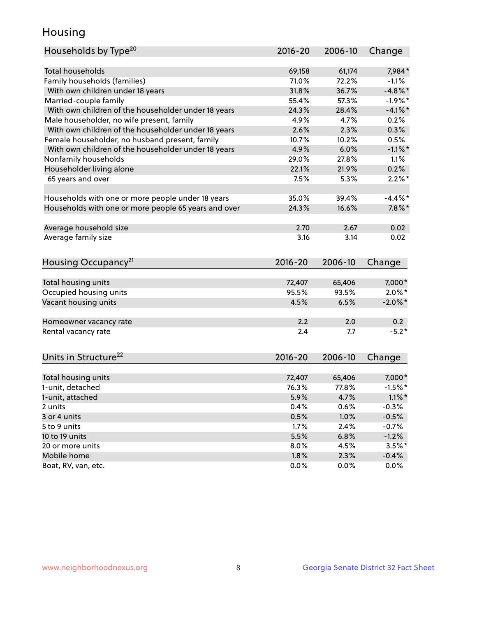## Housing

| Households by Type <sup>20</sup>                     | 2016-20     | 2006-10 | Change     |
|------------------------------------------------------|-------------|---------|------------|
|                                                      |             |         |            |
| <b>Total households</b>                              | 69,158      | 61,174  | 7,984*     |
| Family households (families)                         | 71.0%       | 72.2%   | $-1.1%$    |
| With own children under 18 years                     | 31.8%       | 36.7%   | $-4.8\%$ * |
| Married-couple family                                | 55.4%       | 57.3%   | $-1.9%$ *  |
| With own children of the householder under 18 years  | 24.3%       | 28.4%   | $-4.1\%$ * |
| Male householder, no wife present, family            | 4.9%        | 4.7%    | 0.2%       |
| With own children of the householder under 18 years  | 2.6%        | 2.3%    | 0.3%       |
| Female householder, no husband present, family       | 10.7%       | 10.2%   | 0.5%       |
| With own children of the householder under 18 years  | 4.9%        | 6.0%    | $-1.1\%$ * |
| Nonfamily households                                 | 29.0%       | 27.8%   | 1.1%       |
| Householder living alone                             | 22.1%       | 21.9%   | 0.2%       |
| 65 years and over                                    | 7.5%        | 5.3%    | $2.2\%$ *  |
|                                                      |             |         |            |
| Households with one or more people under 18 years    | 35.0%       | 39.4%   | $-4.4\%$ * |
| Households with one or more people 65 years and over | 24.3%       | 16.6%   | $7.8\%$ *  |
|                                                      |             |         |            |
| Average household size                               | 2.70        | 2.67    | 0.02       |
| Average family size                                  | 3.16        | 3.14    | 0.02       |
|                                                      |             |         |            |
|                                                      | 2016-20     | 2006-10 | Change     |
| Housing Occupancy <sup>21</sup>                      |             |         |            |
| Total housing units                                  | 72,407      | 65,406  | 7,000*     |
| Occupied housing units                               | 95.5%       | 93.5%   | $2.0\%$ *  |
| Vacant housing units                                 | 4.5%        | 6.5%    | $-2.0\%$ * |
|                                                      |             |         |            |
| Homeowner vacancy rate                               | 2.2         | 2.0     | 0.2        |
| Rental vacancy rate                                  | 2.4         | 7.7     | $-5.2*$    |
|                                                      |             |         |            |
| Units in Structure <sup>22</sup>                     | $2016 - 20$ | 2006-10 |            |
|                                                      |             |         | Change     |
| Total housing units                                  | 72,407      | 65,406  | 7,000*     |
| 1-unit, detached                                     | 76.3%       | 77.8%   | $-1.5%$ *  |
| 1-unit, attached                                     | 5.9%        | 4.7%    | $1.1\%$ *  |
| 2 units                                              | 0.4%        | 0.6%    | $-0.3%$    |
| 3 or 4 units                                         |             | 1.0%    |            |
|                                                      | 0.5%        |         | $-0.5%$    |
| 5 to 9 units                                         | 1.7%        | 2.4%    | $-0.7%$    |
| 10 to 19 units                                       | 5.5%        | 6.8%    | $-1.2%$    |
| 20 or more units                                     | 8.0%        | 4.5%    | $3.5%$ *   |
| Mobile home                                          | 1.8%        | 2.3%    | $-0.4%$    |
| Boat, RV, van, etc.                                  | 0.0%        | 0.0%    | 0.0%       |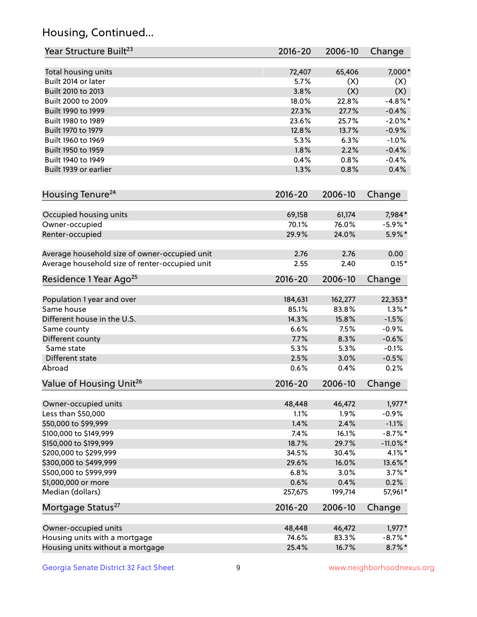## Housing, Continued...

| Year Structure Built <sup>23</sup>             | 2016-20     | 2006-10 | Change      |
|------------------------------------------------|-------------|---------|-------------|
| Total housing units                            | 72,407      | 65,406  | 7,000*      |
| Built 2014 or later                            | 5.7%        | (X)     | (X)         |
| Built 2010 to 2013                             | 3.8%        | (X)     | (X)         |
| Built 2000 to 2009                             | 18.0%       | 22.8%   | $-4.8\%$ *  |
| Built 1990 to 1999                             | 27.3%       | 27.7%   | $-0.4%$     |
| Built 1980 to 1989                             | 23.6%       | 25.7%   | $-2.0\%$ *  |
| Built 1970 to 1979                             | 12.8%       | 13.7%   | $-0.9%$     |
| Built 1960 to 1969                             | 5.3%        | 6.3%    | $-1.0%$     |
| Built 1950 to 1959                             | 1.8%        | 2.2%    | $-0.4%$     |
| Built 1940 to 1949                             | 0.4%        | 0.8%    | $-0.4%$     |
| Built 1939 or earlier                          | 1.3%        | 0.8%    | 0.4%        |
| Housing Tenure <sup>24</sup>                   | $2016 - 20$ | 2006-10 | Change      |
|                                                |             |         |             |
| Occupied housing units                         | 69,158      | 61,174  | 7,984*      |
| Owner-occupied                                 | 70.1%       | 76.0%   | $-5.9\%$ *  |
| Renter-occupied                                | 29.9%       | 24.0%   | 5.9%*       |
| Average household size of owner-occupied unit  | 2.76        | 2.76    | 0.00        |
| Average household size of renter-occupied unit | 2.55        | 2.40    | $0.15*$     |
| Residence 1 Year Ago <sup>25</sup>             | $2016 - 20$ | 2006-10 | Change      |
| Population 1 year and over                     | 184,631     | 162,277 | 22,353*     |
| Same house                                     | 85.1%       | 83.8%   | $1.3\%$ *   |
| Different house in the U.S.                    | 14.3%       | 15.8%   | $-1.5%$     |
| Same county                                    | 6.6%        | 7.5%    | $-0.9%$     |
| Different county                               | 7.7%        | 8.3%    | $-0.6%$     |
| Same state                                     | 5.3%        | 5.3%    | $-0.1%$     |
| Different state                                | 2.5%        | 3.0%    | $-0.5%$     |
| Abroad                                         | 0.6%        | 0.4%    | 0.2%        |
| Value of Housing Unit <sup>26</sup>            | $2016 - 20$ | 2006-10 | Change      |
| Owner-occupied units                           | 48,448      | 46,472  | $1,977*$    |
| Less than \$50,000                             | 1.1%        | 1.9%    | $-0.9%$     |
| \$50,000 to \$99,999                           | 1.4%        | 2.4%    | $-1.1%$     |
| \$100,000 to \$149,999                         | 7.4%        | 16.1%   | $-8.7\%$ *  |
| \$150,000 to \$199,999                         | 18.7%       | 29.7%   | $-11.0\%$ * |
| \$200,000 to \$299,999                         | 34.5%       | 30.4%   | $4.1\%$ *   |
| \$300,000 to \$499,999                         | 29.6%       | 16.0%   | 13.6%*      |
| \$500,000 to \$999,999                         | 6.8%        | 3.0%    | $3.7\%$ *   |
| \$1,000,000 or more                            | 0.6%        | 0.4%    | 0.2%        |
| Median (dollars)                               | 257,675     | 199,714 | 57,961*     |
| Mortgage Status <sup>27</sup>                  | $2016 - 20$ | 2006-10 | Change      |
|                                                |             |         |             |
| Owner-occupied units                           | 48,448      | 46,472  | $1,977*$    |
| Housing units with a mortgage                  | 74.6%       | 83.3%   | $-8.7\%$ *  |
| Housing units without a mortgage               | 25.4%       | 16.7%   | $8.7\%$ *   |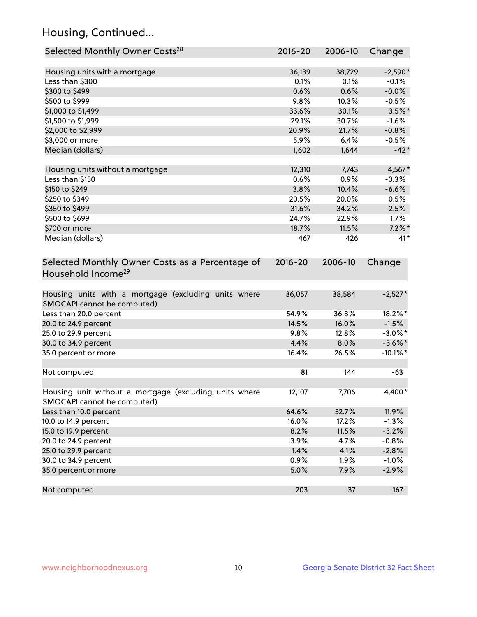## Housing, Continued...

| Selected Monthly Owner Costs <sup>28</sup>                                            | $2016 - 20$ | 2006-10 | Change      |
|---------------------------------------------------------------------------------------|-------------|---------|-------------|
| Housing units with a mortgage                                                         | 36,139      | 38,729  | $-2,590*$   |
| Less than \$300                                                                       | 0.1%        | 0.1%    | $-0.1%$     |
| \$300 to \$499                                                                        | 0.6%        | 0.6%    | $-0.0%$     |
| \$500 to \$999                                                                        | 9.8%        | 10.3%   | $-0.5%$     |
| \$1,000 to \$1,499                                                                    | 33.6%       | 30.1%   | $3.5%$ *    |
| \$1,500 to \$1,999                                                                    | 29.1%       | 30.7%   | $-1.6%$     |
| \$2,000 to \$2,999                                                                    | 20.9%       | 21.7%   | $-0.8%$     |
| \$3,000 or more                                                                       | 5.9%        | 6.4%    | $-0.5%$     |
| Median (dollars)                                                                      | 1,602       | 1,644   | $-42*$      |
| Housing units without a mortgage                                                      | 12,310      | 7,743   | 4,567*      |
| Less than \$150                                                                       | 0.6%        | 0.9%    | $-0.3%$     |
| \$150 to \$249                                                                        | 3.8%        | 10.4%   | $-6.6%$     |
| \$250 to \$349                                                                        | 20.5%       | 20.0%   | 0.5%        |
| \$350 to \$499                                                                        | 31.6%       | 34.2%   | $-2.5%$     |
| \$500 to \$699                                                                        | 24.7%       | 22.9%   | 1.7%        |
| \$700 or more                                                                         | 18.7%       | 11.5%   | $7.2\%$ *   |
| Median (dollars)                                                                      | 467         | 426     | $41*$       |
| Selected Monthly Owner Costs as a Percentage of<br>Household Income <sup>29</sup>     | $2016 - 20$ | 2006-10 | Change      |
| Housing units with a mortgage (excluding units where<br>SMOCAPI cannot be computed)   | 36,057      | 38,584  | $-2,527*$   |
| Less than 20.0 percent                                                                | 54.9%       | 36.8%   | 18.2%*      |
| 20.0 to 24.9 percent                                                                  | 14.5%       | 16.0%   | $-1.5%$     |
| 25.0 to 29.9 percent                                                                  | 9.8%        | 12.8%   | $-3.0\%$ *  |
| 30.0 to 34.9 percent                                                                  | 4.4%        | 8.0%    | $-3.6\%$ *  |
| 35.0 percent or more                                                                  | 16.4%       | 26.5%   | $-10.1\%$ * |
| Not computed                                                                          | 81          | 144     | $-63$       |
| Housing unit without a mortgage (excluding units where<br>SMOCAPI cannot be computed) | 12,107      | 7,706   | 4,400*      |
| Less than 10.0 percent                                                                | 64.6%       | 52.7%   | 11.9%       |
| 10.0 to 14.9 percent                                                                  | 16.0%       | 17.2%   | $-1.3%$     |
| 15.0 to 19.9 percent                                                                  | 8.2%        | 11.5%   | $-3.2%$     |
| 20.0 to 24.9 percent                                                                  | 3.9%        | 4.7%    | $-0.8%$     |
| 25.0 to 29.9 percent                                                                  | 1.4%        | 4.1%    | $-2.8%$     |
| 30.0 to 34.9 percent                                                                  | 0.9%        | 1.9%    | $-1.0%$     |
| 35.0 percent or more                                                                  | 5.0%        | 7.9%    | $-2.9%$     |
| Not computed                                                                          | 203         | 37      | 167         |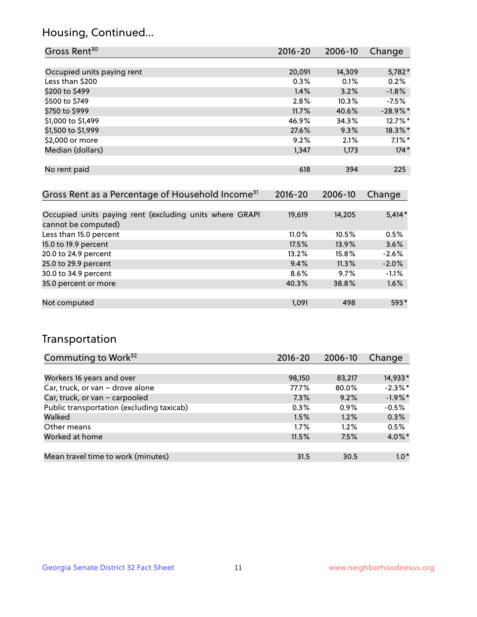## Housing, Continued...

| Gross Rent <sup>30</sup>   | 2016-20 | 2006-10 | Change     |
|----------------------------|---------|---------|------------|
|                            |         |         |            |
| Occupied units paying rent | 20,091  | 14,309  | 5,782*     |
| Less than \$200            | 0.3%    | 0.1%    | 0.2%       |
| \$200 to \$499             | 1.4%    | 3.2%    | $-1.8%$    |
| \$500 to \$749             | 2.8%    | 10.3%   | $-7.5%$    |
| \$750 to \$999             | 11.7%   | 40.6%   | $-28.9%$ * |
| \$1,000 to \$1,499         | 46.9%   | 34.3%   | 12.7%*     |
| \$1,500 to \$1,999         | 27.6%   | 9.3%    | 18.3%*     |
| \$2,000 or more            | 9.2%    | 2.1%    | $7.1\%$ *  |
| Median (dollars)           | 1,347   | 1,173   | $174*$     |
|                            |         |         |            |
| No rent paid               | 618     | 394     | 225        |

| Gross Rent as a Percentage of Household Income <sup>31</sup>                   | $2016 - 20$ | 2006-10 | Change   |
|--------------------------------------------------------------------------------|-------------|---------|----------|
|                                                                                |             |         |          |
| Occupied units paying rent (excluding units where GRAPI<br>cannot be computed) | 19,619      | 14,205  | $5,414*$ |
| Less than 15.0 percent                                                         | $11.0\%$    | 10.5%   | 0.5%     |
| 15.0 to 19.9 percent                                                           | 17.5%       | 13.9%   | 3.6%     |
| 20.0 to 24.9 percent                                                           | 13.2%       | 15.8%   | $-2.6%$  |
| 25.0 to 29.9 percent                                                           | 9.4%        | 11.3%   | $-2.0%$  |
| 30.0 to 34.9 percent                                                           | 8.6%        | 9.7%    | $-1.1\%$ |
| 35.0 percent or more                                                           | 40.3%       | 38.8%   | 1.6%     |
|                                                                                |             |         |          |
| Not computed                                                                   | 1.091       | 498     | 593*     |

## Transportation

| Commuting to Work <sup>32</sup>           | 2016-20 | 2006-10 | Change     |
|-------------------------------------------|---------|---------|------------|
|                                           |         |         |            |
| Workers 16 years and over                 | 98,150  | 83,217  | 14,933*    |
| Car, truck, or van - drove alone          | 77.7%   | 80.0%   | $-2.3\%$ * |
| Car, truck, or van - carpooled            | 7.3%    | 9.2%    | $-1.9%$ *  |
| Public transportation (excluding taxicab) | 0.3%    | $0.9\%$ | $-0.5%$    |
| Walked                                    | 1.5%    | 1.2%    | 0.3%       |
| Other means                               | $1.7\%$ | $1.2\%$ | 0.5%       |
| Worked at home                            | 11.5%   | 7.5%    | $4.0\%$ *  |
|                                           |         |         |            |
| Mean travel time to work (minutes)        | 31.5    | 30.5    | $1.0*$     |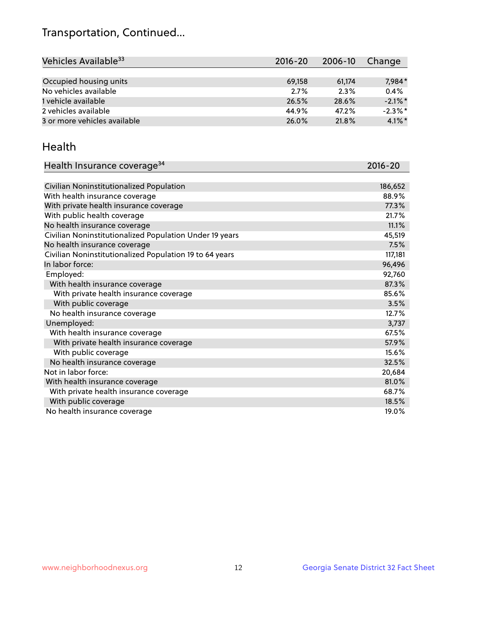## Transportation, Continued...

| Vehicles Available <sup>33</sup> | $2016 - 20$ | 2006-10 | Change     |
|----------------------------------|-------------|---------|------------|
|                                  |             |         |            |
| Occupied housing units           | 69,158      | 61,174  | 7,984*     |
| No vehicles available            | 2.7%        | 2.3%    | 0.4%       |
| 1 vehicle available              | 26.5%       | 28.6%   | $-2.1\%$ * |
| 2 vehicles available             | 44.9%       | 47.2%   | $-2.3\%$ * |
| 3 or more vehicles available     | 26.0%       | 21.8%   | $4.1\%$ *  |

#### Health

| Health Insurance coverage <sup>34</sup>                 | 2016-20 |
|---------------------------------------------------------|---------|
|                                                         |         |
| Civilian Noninstitutionalized Population                | 186,652 |
| With health insurance coverage                          | 88.9%   |
| With private health insurance coverage                  | 77.3%   |
| With public health coverage                             | 21.7%   |
| No health insurance coverage                            | 11.1%   |
| Civilian Noninstitutionalized Population Under 19 years | 45,519  |
| No health insurance coverage                            | 7.5%    |
| Civilian Noninstitutionalized Population 19 to 64 years | 117,181 |
| In labor force:                                         | 96,496  |
| Employed:                                               | 92,760  |
| With health insurance coverage                          | 87.3%   |
| With private health insurance coverage                  | 85.6%   |
| With public coverage                                    | 3.5%    |
| No health insurance coverage                            | 12.7%   |
| Unemployed:                                             | 3,737   |
| With health insurance coverage                          | 67.5%   |
| With private health insurance coverage                  | 57.9%   |
| With public coverage                                    | 15.6%   |
| No health insurance coverage                            | 32.5%   |
| Not in labor force:                                     | 20,684  |
| With health insurance coverage                          | 81.0%   |
| With private health insurance coverage                  | 68.7%   |
| With public coverage                                    | 18.5%   |
| No health insurance coverage                            | 19.0%   |